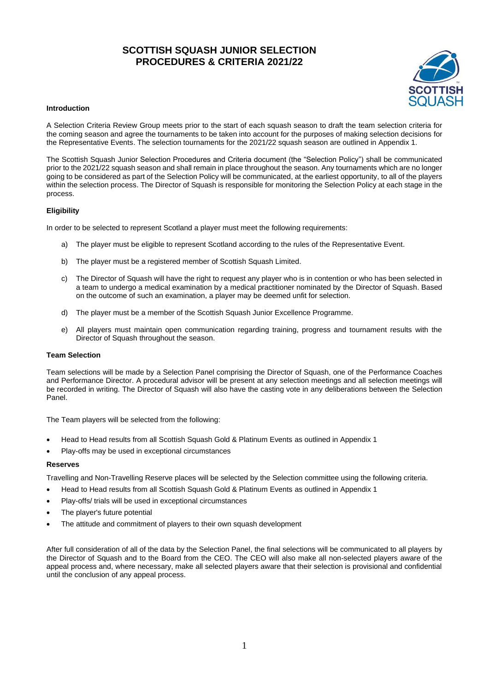# **SCOTTISH SQUASH JUNIOR SELECTION PROCEDURES & CRITERIA 2021/22**



### **Introduction**

A Selection Criteria Review Group meets prior to the start of each squash season to draft the team selection criteria for the coming season and agree the tournaments to be taken into account for the purposes of making selection decisions for the Representative Events. The selection tournaments for the 2021/22 squash season are outlined in Appendix 1.

The Scottish Squash Junior Selection Procedures and Criteria document (the "Selection Policy") shall be communicated prior to the 2021/22 squash season and shall remain in place throughout the season. Any tournaments which are no longer going to be considered as part of the Selection Policy will be communicated, at the earliest opportunity, to all of the players within the selection process. The Director of Squash is responsible for monitoring the Selection Policy at each stage in the process.

# **Eligibility**

In order to be selected to represent Scotland a player must meet the following requirements:

- a) The player must be eligible to represent Scotland according to the rules of the Representative Event.
- b) The player must be a registered member of Scottish Squash Limited.
- c) The Director of Squash will have the right to request any player who is in contention or who has been selected in a team to undergo a medical examination by a medical practitioner nominated by the Director of Squash. Based on the outcome of such an examination, a player may be deemed unfit for selection.
- d) The player must be a member of the Scottish Squash Junior Excellence Programme.
- e) All players must maintain open communication regarding training, progress and tournament results with the Director of Squash throughout the season.

### **Team Selection**

Team selections will be made by a Selection Panel comprising the Director of Squash, one of the Performance Coaches and Performance Director. A procedural advisor will be present at any selection meetings and all selection meetings will be recorded in writing. The Director of Squash will also have the casting vote in any deliberations between the Selection Panel.

The Team players will be selected from the following:

- Head to Head results from all Scottish Squash Gold & Platinum Events as outlined in Appendix 1
- Play-offs may be used in exceptional circumstances

#### **Reserves**

Travelling and Non-Travelling Reserve places will be selected by the Selection committee using the following criteria.

- Head to Head results from all Scottish Squash Gold & Platinum Events as outlined in Appendix 1
- Play-offs/ trials will be used in exceptional circumstances
- The player's future potential
- The attitude and commitment of players to their own squash development

After full consideration of all of the data by the Selection Panel, the final selections will be communicated to all players by the Director of Squash and to the Board from the CEO. The CEO will also make all non-selected players aware of the appeal process and, where necessary, make all selected players aware that their selection is provisional and confidential until the conclusion of any appeal process.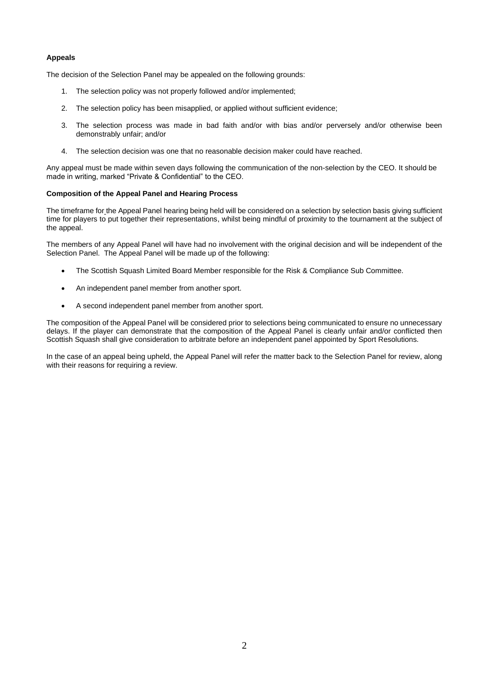## **Appeals**

The decision of the Selection Panel may be appealed on the following grounds:

- 1. The selection policy was not properly followed and/or implemented;
- 2. The selection policy has been misapplied, or applied without sufficient evidence;
- 3. The selection process was made in bad faith and/or with bias and/or perversely and/or otherwise been demonstrably unfair; and/or
- 4. The selection decision was one that no reasonable decision maker could have reached.

Any appeal must be made within seven days following the communication of the non-selection by the CEO. It should be made in writing, marked "Private & Confidential" to the CEO.

## **Composition of the Appeal Panel and Hearing Process**

The timeframe for the Appeal Panel hearing being held will be considered on a selection by selection basis giving sufficient time for players to put together their representations, whilst being mindful of proximity to the tournament at the subject of the appeal.

The members of any Appeal Panel will have had no involvement with the original decision and will be independent of the Selection Panel. The Appeal Panel will be made up of the following:

- The Scottish Squash Limited Board Member responsible for the Risk & Compliance Sub Committee.
- An independent panel member from another sport.
- A second independent panel member from another sport.

The composition of the Appeal Panel will be considered prior to selections being communicated to ensure no unnecessary delays. If the player can demonstrate that the composition of the Appeal Panel is clearly unfair and/or conflicted then Scottish Squash shall give consideration to arbitrate before an independent panel appointed by Sport Resolutions.

In the case of an appeal being upheld, the Appeal Panel will refer the matter back to the Selection Panel for review, along with their reasons for requiring a review.